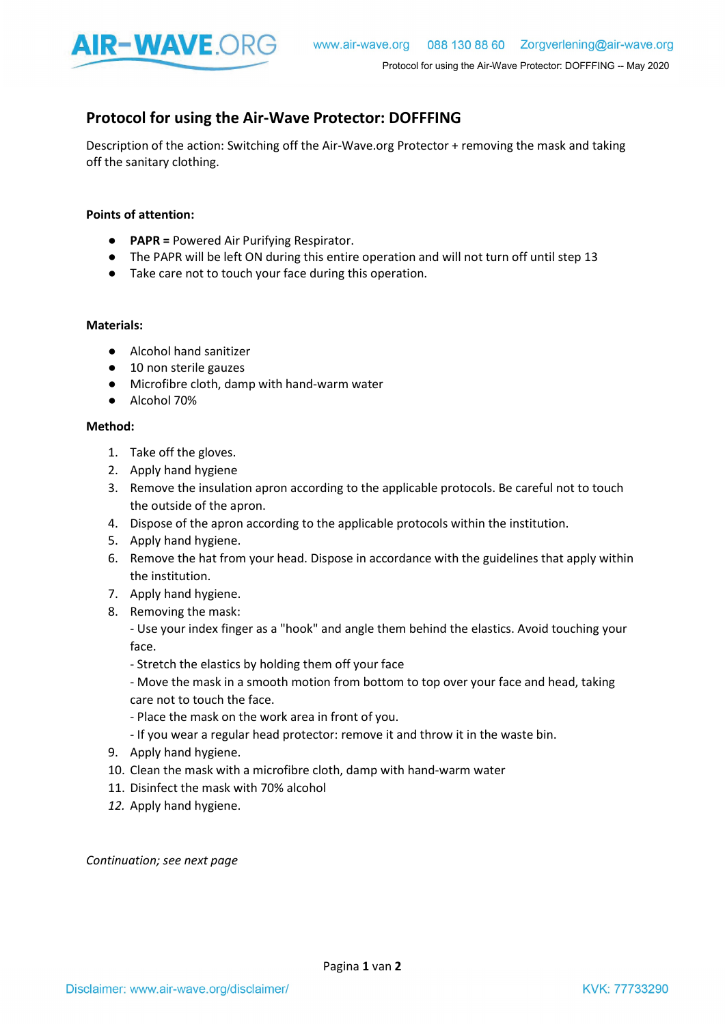

## Protocol for using the Air-Wave Protector: DOFFFING

Description of the action: Switching off the Air-Wave.org Protector + removing the mask and taking off the sanitary clothing.

## Points of attention:

- **PAPR** = Powered Air Purifying Respirator.
- The PAPR will be left ON during this entire operation and will not turn off until step 13
- Take care not to touch your face during this operation.

## Materials:

- Alcohol hand sanitizer
- 10 non sterile gauzes
- Microfibre cloth, damp with hand-warm water
- Alcohol 70%

## Method:

- 1. Take off the gloves.
- 2. Apply hand hygiene
- 3. Remove the insulation apron according to the applicable protocols. Be careful not to touch the outside of the apron.
- 4. Dispose of the apron according to the applicable protocols within the institution.
- 5. Apply hand hygiene.
- 6. Remove the hat from your head. Dispose in accordance with the guidelines that apply within the institution.
- 7. Apply hand hygiene.
- 8. Removing the mask:

- Use your index finger as a "hook" and angle them behind the elastics. Avoid touching your face.

- Stretch the elastics by holding them off your face

- Move the mask in a smooth motion from bottom to top over your face and head, taking care not to touch the face.

- Place the mask on the work area in front of you.
- If you wear a regular head protector: remove it and throw it in the waste bin.
- 9. Apply hand hygiene.
- 10. Clean the mask with a microfibre cloth, damp with hand-warm water
- 11. Disinfect the mask with 70% alcohol
- 12. Apply hand hygiene.

Continuation; see next page